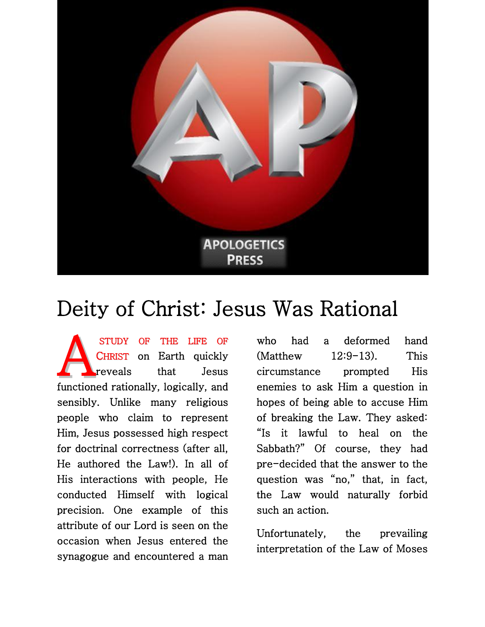

## Deity of Christ: Jesus Was Rational

 STUDY OF THE LIFE OF CHRIST on Earth quickly reveals that Jesus functioned rationally, logically, and sensibly. Unlike many religious people who claim to represent Him, Jesus possessed high respect for doctrinal correctness (after all, He authored the Law!). In all of His interactions with people, He conducted Himself with logical precision. One example of this attribute of our Lord is seen on the occasion when Jesus entered the synagogue and encountered a man A

who had a deformed hand (Matthew 12:9-13). This circumstance prompted His enemies to ask Him a question in hopes of being able to accuse Him of breaking the Law. They asked: "Is it lawful to heal on the Sabbath?" Of course, they had pre-decided that the answer to the question was "no," that, in fact, the Law would naturally forbid such an action.

Unfortunately, the prevailing interpretation of the Law of Moses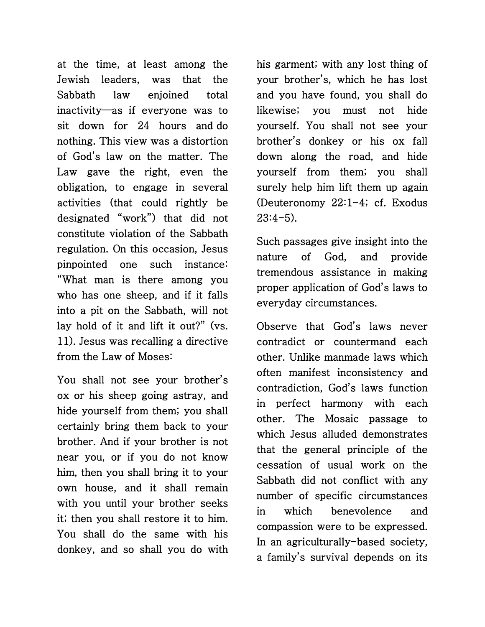at the time, at least among the Jewish leaders, was that the Sabbath law enjoined total inactivity—as if everyone was to sit down for 24 hours and do nothing. This view was a distortion of God's law on the matter. The Law gave the right, even the obligation, to engage in several activities (that could rightly be designated "work") that did not constitute violation of the Sabbath regulation. On this occasion, Jesus pinpointed one such instance: "What man is there among you who has one sheep, and if it falls into a pit on the Sabbath, will not lay hold of it and lift it out?" (vs. 11). Jesus was recalling a directive from the Law of Moses:

You shall not see your brother's ox or his sheep going astray, and hide yourself from them; you shall certainly bring them back to your brother. And if your brother is not near you, or if you do not know him, then you shall bring it to your own house, and it shall remain with you until your brother seeks it; then you shall restore it to him. You shall do the same with his donkey, and so shall you do with his garment; with any lost thing of your brother's, which he has lost and you have found, you shall do likewise; you must not hide yourself. You shall not see your brother's donkey or his ox fall down along the road, and hide yourself from them; you shall surely help him lift them up again (Deuteronomy 22:1-4; cf. Exodus  $23:4-5$ ).

Such passages give insight into the nature of God, and provide tremendous assistance in making proper application of God's laws to everyday circumstances.

Observe that God's laws never contradict or countermand each other. Unlike manmade laws which often manifest inconsistency and contradiction, God's laws function in perfect harmony with each other. The Mosaic passage to which Jesus alluded demonstrates that the general principle of the cessation of usual work on the Sabbath did not conflict with any number of specific circumstances in which benevolence and compassion were to be expressed. In an agriculturally-based society, a family's survival depends on its